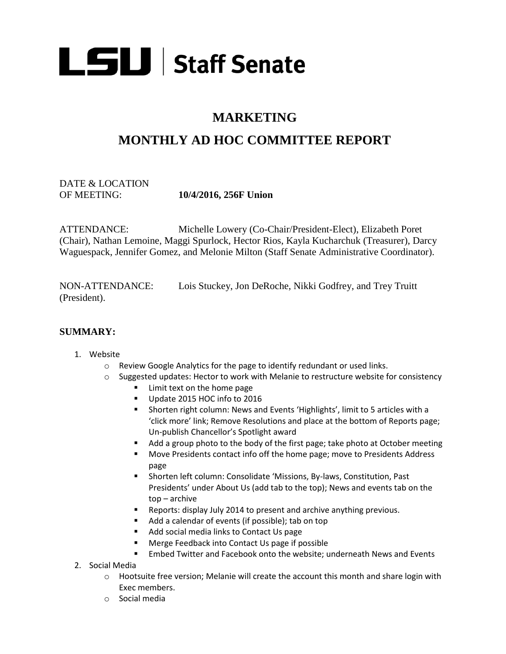

## **MARKETING**

# **MONTHLY AD HOC COMMITTEE REPORT**

### DATE & LOCATION OF MEETING: **10/4/2016, 256F Union**

ATTENDANCE: Michelle Lowery (Co-Chair/President-Elect), Elizabeth Poret (Chair), Nathan Lemoine, Maggi Spurlock, Hector Rios, Kayla Kucharchuk (Treasurer), Darcy Waguespack, Jennifer Gomez, and Melonie Milton (Staff Senate Administrative Coordinator).

NON-ATTENDANCE: Lois Stuckey, Jon DeRoche, Nikki Godfrey, and Trey Truitt (President).

#### **SUMMARY:**

#### 1. Website

- o Review Google Analytics for the page to identify redundant or used links.
- $\circ$  Suggested updates: Hector to work with Melanie to restructure website for consistency
	- **EXTENUE CONTENT** Limit text on the home page
	- Update 2015 HOC info to 2016
	- Shorten right column: News and Events 'Highlights', limit to 5 articles with a 'click more' link; Remove Resolutions and place at the bottom of Reports page; Un-publish Chancellor's Spotlight award
	- Add a group photo to the body of the first page; take photo at October meeting
	- Move Presidents contact info off the home page; move to Presidents Address page
	- Shorten left column: Consolidate 'Missions, By-laws, Constitution, Past Presidents' under About Us (add tab to the top); News and events tab on the top – archive
	- **EXECT** Reports: display July 2014 to present and archive anything previous.
	- Add a calendar of events (if possible); tab on top
	- Add social media links to Contact Us page
	- Merge Feedback into Contact Us page if possible
	- Embed Twitter and Facebook onto the website; underneath News and Events
- 2. Social Media
	- $\circ$  Hootsuite free version; Melanie will create the account this month and share login with Exec members.
	- o Social media